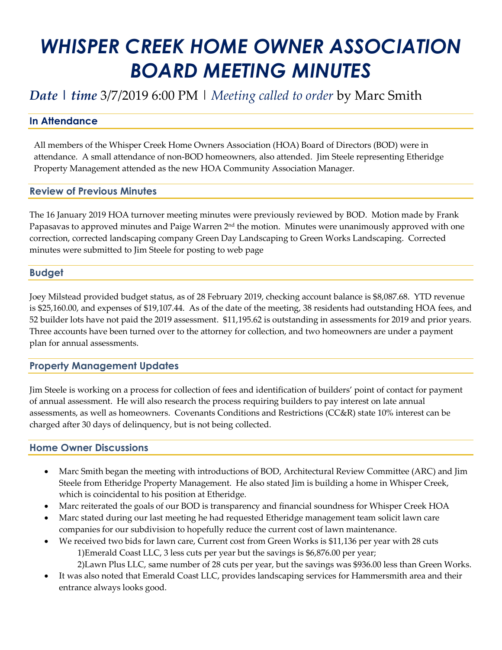# *WHISPER CREEK HOME OWNER ASSOCIATION BOARD MEETING MINUTES*

# *Date | time* 3/7/2019 6:00 PM | *Meeting called to order* by Marc Smith

### **In Attendance**

All members of the Whisper Creek Home Owners Association (HOA) Board of Directors (BOD) were in attendance. A small attendance of non-BOD homeowners, also attended. Jim Steele representing Etheridge Property Management attended as the new HOA Community Association Manager.

#### **Review of Previous Minutes**

The 16 January 2019 HOA turnover meeting minutes were previously reviewed by BOD. Motion made by Frank Papasavas to approved minutes and Paige Warren 2<sup>nd</sup> the motion. Minutes were unanimously approved with one correction, corrected landscaping company Green Day Landscaping to Green Works Landscaping. Corrected minutes were submitted to Jim Steele for posting to web page

#### **Budget**

Joey Milstead provided budget status, as of 28 February 2019, checking account balance is \$8,087.68. YTD revenue is \$25,160.00, and expenses of \$19,107.44. As of the date of the meeting, 38 residents had outstanding HOA fees, and 52 builder lots have not paid the 2019 assessment. \$11,195.62 is outstanding in assessments for 2019 and prior years. Three accounts have been turned over to the attorney for collection, and two homeowners are under a payment plan for annual assessments.

# **Property Management Updates**

Jim Steele is working on a process for collection of fees and identification of builders' point of contact for payment of annual assessment. He will also research the process requiring builders to pay interest on late annual assessments, as well as homeowners. Covenants Conditions and Restrictions (CC&R) state 10% interest can be charged after 30 days of delinquency, but is not being collected.

#### **Home Owner Discussions**

- Marc Smith began the meeting with introductions of BOD, Architectural Review Committee (ARC) and Jim Steele from Etheridge Property Management. He also stated Jim is building a home in Whisper Creek, which is coincidental to his position at Etheridge.
- Marc reiterated the goals of our BOD is transparency and financial soundness for Whisper Creek HOA
- Marc stated during our last meeting he had requested Etheridge management team solicit lawn care companies for our subdivision to hopefully reduce the current cost of lawn maintenance.
- We received two bids for lawn care, Current cost from Green Works is \$11,136 per year with 28 cuts 1)Emerald Coast LLC, 3 less cuts per year but the savings is \$6,876.00 per year; 2)Lawn Plus LLC, same number of 28 cuts per year, but the savings was \$936.00 less than Green Works.
- It was also noted that Emerald Coast LLC, provides landscaping services for Hammersmith area and their entrance always looks good.